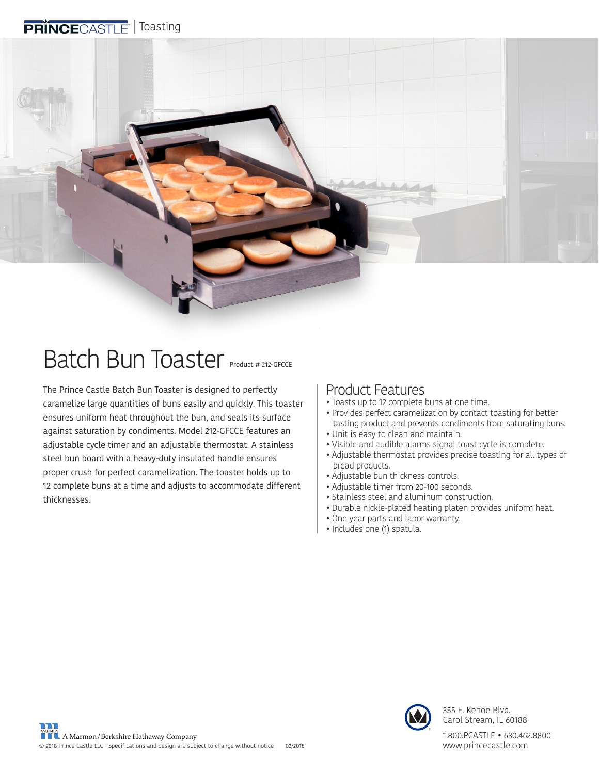#### PRINCECASTLE<sup>-</sup> | Toasting



## Batch Bun Toaster Product # 212-GFCCE

The Prince Castle Batch Bun Toaster is designed to perfectly caramelize large quantities of buns easily and quickly. This toaster ensures uniform heat throughout the bun, and seals its surface against saturation by condiments. Model 212-GFCCE features an adjustable cycle timer and an adjustable thermostat. A stainless steel bun board with a heavy-duty insulated handle ensures proper crush for perfect caramelization. The toaster holds up to 12 complete buns at a time and adjusts to accommodate different thicknesses.

#### Product Features

- Toasts up to 12 complete buns at one time.
- Provides perfect caramelization by contact toasting for better tasting product and prevents condiments from saturating buns.
- Unit is easy to clean and maintain.
- Visible and audible alarms signal toast cycle is complete.
- Adjustable thermostat provides precise toasting for all types of bread products.
- Adjustable bun thickness controls.
- Adjustable timer from 20-100 seconds.
- Stainless steel and aluminum construction.
- Durable nickle-plated heating platen provides uniform heat.
- One year parts and labor warranty.
- Includes one (1) spatula.



355 E. Kehoe Blvd. Carol Stream, IL 60188

1.800.PCASTLE • 630.462.8800 www.princecastle.com **®**